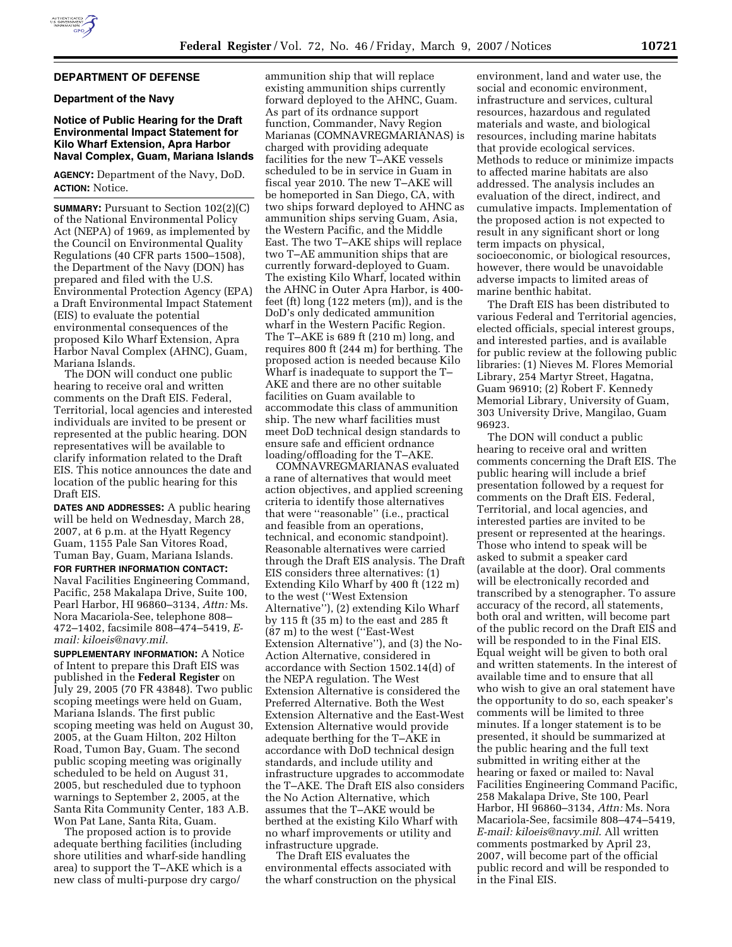# **DEPARTMENT OF DEFENSE**

### **Department of the Navy**

#### **Notice of Public Hearing for the Draft Environmental Impact Statement for Kilo Wharf Extension, Apra Harbor Naval Complex, Guam, Mariana Islands**

**AGENCY:** Department of the Navy, DoD. **ACTION:** Notice.

**SUMMARY:** Pursuant to Section 102(2)(C) of the National Environmental Policy Act (NEPA) of 1969, as implemented by the Council on Environmental Quality Regulations (40 CFR parts 1500–1508), the Department of the Navy (DON) has prepared and filed with the U.S. Environmental Protection Agency (EPA) a Draft Environmental Impact Statement (EIS) to evaluate the potential environmental consequences of the proposed Kilo Wharf Extension, Apra Harbor Naval Complex (AHNC), Guam, Mariana Islands.

The DON will conduct one public hearing to receive oral and written comments on the Draft EIS. Federal, Territorial, local agencies and interested individuals are invited to be present or represented at the public hearing. DON representatives will be available to clarify information related to the Draft EIS. This notice announces the date and location of the public hearing for this Draft EIS.

**DATES AND ADDRESSES:** A public hearing will be held on Wednesday, March 28, 2007, at 6 p.m. at the Hyatt Regency Guam, 1155 Pale San Vitores Road, Tuman Bay, Guam, Mariana Islands.

**FOR FURTHER INFORMATION CONTACT:**  Naval Facilities Engineering Command, Pacific, 258 Makalapa Drive, Suite 100, Pearl Harbor, HI 96860–3134, *Attn:* Ms. Nora Macariola-See, telephone 808– 472–1402, facsimile 808–474–5419, *Email: kiloeis@navy.mil*.

**SUPPLEMENTARY INFORMATION:** A Notice of Intent to prepare this Draft EIS was published in the **Federal Register** on July 29, 2005 (70 FR 43848). Two public scoping meetings were held on Guam, Mariana Islands. The first public scoping meeting was held on August 30, 2005, at the Guam Hilton, 202 Hilton Road, Tumon Bay, Guam. The second public scoping meeting was originally scheduled to be held on August 31, 2005, but rescheduled due to typhoon warnings to September 2, 2005, at the Santa Rita Community Center, 183 A.B. Won Pat Lane, Santa Rita, Guam.

The proposed action is to provide adequate berthing facilities (including shore utilities and wharf-side handling area) to support the T–AKE which is a new class of multi-purpose dry cargo/

ammunition ship that will replace existing ammunition ships currently forward deployed to the AHNC, Guam. As part of its ordnance support function, Commander, Navy Region Marianas (COMNAVREGMARIANAS) is charged with providing adequate facilities for the new T–AKE vessels scheduled to be in service in Guam in fiscal year 2010. The new T–AKE will be homeported in San Diego, CA, with two ships forward deployed to AHNC as ammunition ships serving Guam, Asia, the Western Pacific, and the Middle East. The two T–AKE ships will replace two T–AE ammunition ships that are currently forward-deployed to Guam. The existing Kilo Wharf, located within the AHNC in Outer Apra Harbor, is 400 feet (ft) long (122 meters (m)), and is the DoD's only dedicated ammunition wharf in the Western Pacific Region. The T–AKE is 689 ft (210 m) long, and requires 800 ft (244 m) for berthing. The proposed action is needed because Kilo Wharf is inadequate to support the T– AKE and there are no other suitable facilities on Guam available to accommodate this class of ammunition ship. The new wharf facilities must meet DoD technical design standards to ensure safe and efficient ordnance loading/offloading for the T–AKE.

COMNAVREGMARIANAS evaluated a rane of alternatives that would meet action objectives, and applied screening criteria to identify those alternatives that were ''reasonable'' (i.e., practical and feasible from an operations, technical, and economic standpoint). Reasonable alternatives were carried through the Draft EIS analysis. The Draft EIS considers three alternatives: (1) Extending Kilo Wharf by 400 ft (122 m) to the west (''West Extension Alternative''), (2) extending Kilo Wharf by 115 ft (35 m) to the east and 285 ft (87 m) to the west (''East-West Extension Alternative''), and (3) the No-Action Alternative, considered in accordance with Section 1502.14(d) of the NEPA regulation. The West Extension Alternative is considered the Preferred Alternative. Both the West Extension Alternative and the East-West Extension Alternative would provide adequate berthing for the T–AKE in accordance with DoD technical design standards, and include utility and infrastructure upgrades to accommodate the T–AKE. The Draft EIS also considers the No Action Alternative, which assumes that the T–AKE would be berthed at the existing Kilo Wharf with no wharf improvements or utility and infrastructure upgrade.

The Draft EIS evaluates the environmental effects associated with the wharf construction on the physical

environment, land and water use, the social and economic environment, infrastructure and services, cultural resources, hazardous and regulated materials and waste, and biological resources, including marine habitats that provide ecological services. Methods to reduce or minimize impacts to affected marine habitats are also addressed. The analysis includes an evaluation of the direct, indirect, and cumulative impacts. Implementation of the proposed action is not expected to result in any significant short or long term impacts on physical, socioeconomic, or biological resources, however, there would be unavoidable adverse impacts to limited areas of marine benthic habitat.

The Draft EIS has been distributed to various Federal and Territorial agencies, elected officials, special interest groups, and interested parties, and is available for public review at the following public libraries: (1) Nieves M. Flores Memorial Library, 254 Martyr Street, Hagatna, Guam 96910; (2) Robert F. Kennedy Memorial Library, University of Guam, 303 University Drive, Mangilao, Guam 96923.

The DON will conduct a public hearing to receive oral and written comments concerning the Draft EIS. The public hearing will include a brief presentation followed by a request for comments on the Draft EIS. Federal, Territorial, and local agencies, and interested parties are invited to be present or represented at the hearings. Those who intend to speak will be asked to submit a speaker card (available at the door). Oral comments will be electronically recorded and transcribed by a stenographer. To assure accuracy of the record, all statements, both oral and written, will become part of the public record on the Draft EIS and will be responded to in the Final EIS. Equal weight will be given to both oral and written statements. In the interest of available time and to ensure that all who wish to give an oral statement have the opportunity to do so, each speaker's comments will be limited to three minutes. If a longer statement is to be presented, it should be summarized at the public hearing and the full text submitted in writing either at the hearing or faxed or mailed to: Naval Facilities Engineering Command Pacific, 258 Makalapa Drive, Ste 100, Pearl Harbor, HI 96860–3134, *Attn:* Ms. Nora Macariola-See, facsimile 808–474–5419, *E-mail: kiloeis@navy.mil*. All written comments postmarked by April 23, 2007, will become part of the official public record and will be responded to in the Final EIS.